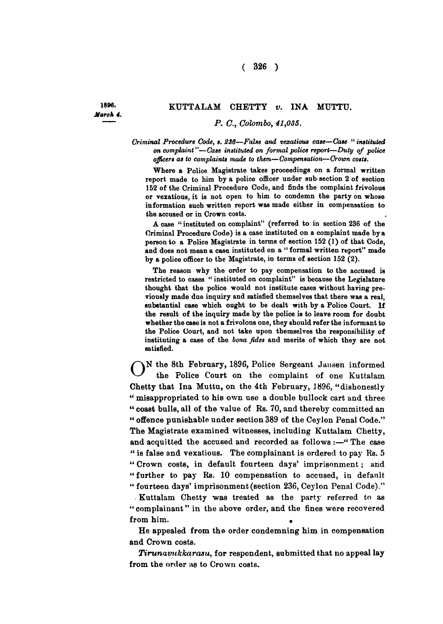## **( 326 )**

1896. *Jlarek 4.* 

## **KUTTALAM CHETTY** *v.* **INA MUTTTJ.**

## *P. C, Colombo, 41,035.*

## *Criminal Procedure Code, B. 238***—***False and vexatious case—Case " instituted on complaint"—Case instituted on formal police report—Duty of police officers as to complaints made to them—Compensation—Crown costs.*

Where a Police Magistrate takes proceedings on a formal written report made to him by a police officer under sub-section 2 of section 152 of the Criminal Procedure Code, and finds the complaint frivolous or vexatious, it is not open to him to condemn the party on whose information such written report was made either in compensation to the accused or in Crown costs.

A case "instituted on complaint" (referred to in section 236 of the Criminal Procedure Code) is a case instituted on a complaint made by a person to a Police Magistrate in terms of section  $152$  (1) of that Code, and does not mean a case instituted on a " formal written report" made by a police officer to the Magistrate, in terms of section 152 (2).

The reason why the order to pay compensation to the accused is restricted to cases " instituted on complaint" is because the Legislature thought that the police would not institute cases without having previously made due inquiry and satisfied themselves that there was a real, substantial case which ought to be dealt with by a Police Court. If the result of the inquiry made by the police is to leave room for doubt whether the case is not a frivolous one, they should refer the informant to the Police Court, and not take upon themselves the responsibility of instituting a case of the *bona fides* and merits of which they are not satisfied.

**N the 8th February, 1896, Police Sergeant Jansen informed ^-^ the Police Court on the complaint of one Kuttalam Chetty that Ina Muttu, on the 4th February, 1896, "dishonestly " misappropriated to his own use a double bullock cart and three " coast bulls, all of the value of Rs. 70, and thereby committed an " offence punishable under section 389 of the Ceylon Penal Code." The Magistrate examined witnesses, including Kuttalam Chetty, and acquitted the accused and recorded as follows :—" The case " is false and vexatious. The complainant is ordered to pay Rs. 5 " Crown costs, in default fourteen days' imprisonment; and " further to pay Rs. 10 compensation to accused, in default " fourteen days' imprisonment (section 236, Ceylon Penal Code)." Kuttalam Chetty was treated as the party referred to as " complainant" in the above order, and the fines were recovered**  from him.

**He appealed from the order condemning him in compensation and Crown costs.** 

*Tirunamikkarasu,* **for respondent, submitted that no appeal lay from the order as to Crown costs.**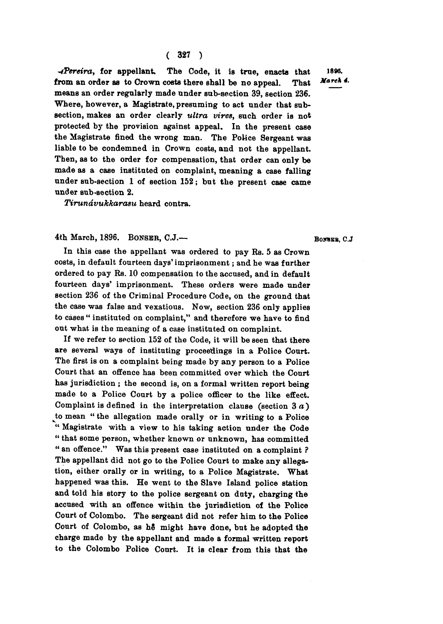*^fPereira,* **for appellant The Code,** it **is true, enacts that from an order as to Crown costs there shall be no appeal. That means an order regularly made nnder sab-section 39, section 236. Where, however, a Magistrate, presuming to act nnder that subsection, makes an order clearly** *ultra vires***, such order is not protected by the provision against appeal. In the present case the Magistrate fined the wrong man. The Police Sergeant was liable to be condemned in Crown costs, and not the appellant. Then, as to the order for compensation, that order can only be made as a case instituted on complaint, meaning a case falling under sub-section 1 of section 152 ; but the present case came under sub-section 2.** 

*Tirundvukkarasu* **heard contra.** 

**4th March, 1896. BONSER, C.J.—** B**OKBBB, C.J** 

**In this case the appellant was ordered to pay Rs. 5 as Crown costs, in default fourteen days' imprisonment; and he was farther ordered to pay Rs. 1 0 compensation to the accused, and in default fourteen days' imprisonment. These orders were made under section 236 of the Criminal Procedure Code, on the ground that the case was false and vexatious. Now, section 236 only applies to cases " instituted on complaint," and therefore we have to find out what is the meaning of a case instituted on complaint.** 

**If we refer to section 152 of the Code, it will be seen that there are several ways of instituting proceedings in a Police Court. The first is on a complaint being made by any person to a Police Court that an offence has been committed over which the Court has jurisdiction ; the second is, on a formal written report being made to a Police Court by a police officer to the like effect.**  Complaint is defined in the interpretation clause (section  $3a$ ) **^to mean " the allegation made orally or in writing to a Police " Magistrate with a view to his taking action under the Code " that some person, whether known or unknown, has committed " an offence." Was this present case instituted on a complaint P The appellant did not go to the Police Court to make any allegation, either orally or in writing, to a Police Magistrate. What happened was this. He went to the Slave Island police station and told his story to the police sergeant on duty, charging the accused with an offence within the jurisdiction of the Police Court of Colombo. The sergeant did not refer him to the Police**  Court of Colombo, as he might have done, but he adopted the **charge made by the appellant and made a formal written report**  to the Colombo Police Court. It is clear from this that the

**1896 .**  *March 4.*